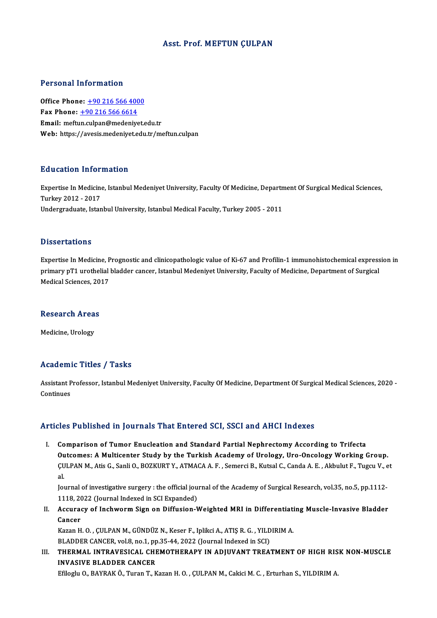#### Asst. Prof.MEFTUN ÇULPAN

#### Personal Information

Office Phone: +90 216 566 4000 Fax Phone:  $+90\,216\,566\,6614$ Email: meft[un.culpan@medeniy](tel:+90 216 566 6614)[et.e](tel:+90 216 566 4000)du.tr Web: https://avesis.medeniyet.edu.tr/meftun.culpan

#### Education Information

**Education Information**<br>Expertise In Medicine, Istanbul Medeniyet University, Faculty Of Medicine, Department Of Surgical Medical Sciences,<br>Turkey 2012 - 2017 Expertise In Medicine<br>Turkey 2012 - 2017<br>Undergraduate Istan Expertise In Medicine, Istanbul Medeniyet University, Faculty Of Medicine, Departn<br>Turkey 2012 - 2017<br>Undergraduate, Istanbul University, Istanbul Medical Faculty, Turkey 2005 - 2011 Undergraduate, Istanbul University, Istanbul Medical Faculty, Turkey 2005 - 2011<br>Dissertations

Dissertations<br>Expertise In Medicine, Prognostic and clinicopathologic value of Ki-67 and Profilin-1 immunohistochemical expression in<br>Primery PT1 unathelial hladder sensen Jatenbul Medeniyat University, Fesulty of Medicine prisser tatrons<br>Expertise In Medicine, Prognostic and clinicopathologic value of Ki-67 and Profilin-1 immunohistochemical express<br>Primary pT1 urothelial bladder cancer, Istanbul Medeniyet University, Faculty of Medicine, D Expertise In Medicine, P<br>primary pT1 urothelial<br>Medical Sciences, 2017 Medical Sciences, 2017<br>Research Areas

Medicine, Urology

#### Academic Titles / Tasks

**Academic Titles / Tasks**<br>Assistant Professor, Istanbul Medeniyet University, Faculty Of Medicine, Department Of Surgical Medical Sciences, 2020 -<br>Continues Assistant P<br>Continues

# Articles Published in Journals That Entered SCI, SSCI and AHCI Indexes

I. Comparison of Tumor Enucleation and Standard Partial Nephrectomy According to Trifecta Outcomes: AMulticenter Study by the Turkish Academy of Urology, Uro-OncologyWorking Group. Comparison of Tumor Enucleation and Standard Partial Nephrectomy According to Trifecta<br>Outcomes: A Multicenter Study by the Turkish Academy of Urology, Uro-Oncology Working Group.<br>ÇULPAN M., Atis G., Sanli O., BOZKURT Y., **Ou**<br>CU<br>Iol CULPAN M., Atis G., Sanli O., BOZKURT Y., ATMACA A. F. , Semerci B., Kutsal C., Canda A. E. , Akbulut F., Tugcu V., e<br>al.<br>Journal of investigative surgery : the official journal of the Academy of Surgical Research, vol.35,

al.<br>Journal of investigative surgery : the official journal of the Academy of Surgical Research, vol.35, no.5, pp.1112-<br>1118, 2022 (Journal Indexed in SCI Expanded) Journal of investigative surgery : the official journal of the Academy of Surgical Research, vol.35, no.5, pp.1112-<br>1118, 2022 (Journal Indexed in SCI Expanded)<br>II. Accuracy of Inchworm Sign on Diffusion-Weighted MRI in Di

1118, 20<br>Accurae<br>Cancer Accuracy of Inchworm Sign on Diffusion-Weighted MRI in Differentiati<br>Cancer<br>Kazan H. O. , ÇULPAN M., GÜNDÜZ N., Keser F., Iplikci A., ATIŞ R. G. , YILDIRIM A.<br>PLADDER CANCER val 8 no 1 nn 35 44 3033 (Journal Indoved in SCL

Cancer<br>Kazan H. O. , ÇULPAN M., GÜNDÜZ N., Keser F., Iplikci A., ATIŞ R. G. , YILD<br>BLADDER CANCER, vol.8, no.1, pp.35-44, 2022 (Journal Indexed in SCI)<br>THERMAL INTRAVESICAL CHEMOTHERARY IN ADUIVANT TREA:

Kazan H. O. , ÇULPAN M., GÜNDÜZ N., Keser F., Iplikci A., ATIŞ R. G. , YILDIRIM A.<br>BLADDER CANCER, vol.8, no.1, pp.35-44, 2022 (Journal Indexed in SCI)<br>III. THERMAL INTRAVESICAL CHEMOTHERAPY IN ADJUVANT TREATMENT OF HI BLADDER CANCER, vol.8, no.1, pp<br>THERMAL INTRAVESICAL CHE<br>INVASIVE BLADDER CANCER<br>F<sup>el</sup>lec<sup>i</sup>n O. BAYBAK Ö. Turen T. K

Efiloglu O., BAYRAK Ö., Turan T., Kazan H. O., ÇULPAN M., Cakici M. C., Erturhan S., YILDIRIM A.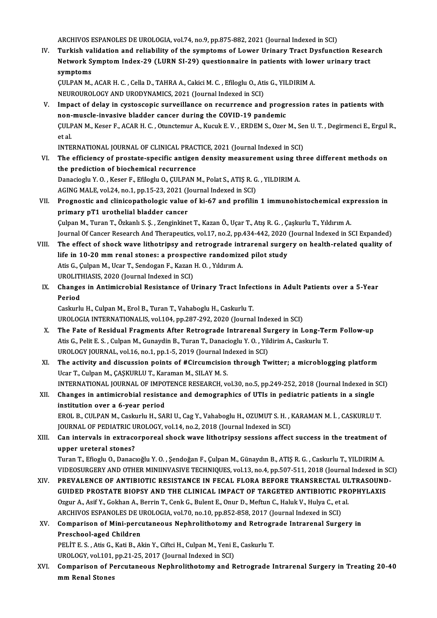ARCHIVOS ESPANOLES DE UROLOGIA, vol.74, no.9, pp.875-882, 2021 (Journal Indexed in SCI)

IV. Turkish validation and reliability of the symptoms of Lower Urinary Tract Dysfunction Research ARCHIVOS ESPANOLES DE UROLOGIA, vol.74, no.9, pp.875-882, 2021 (Journal Indexed in SCI)<br>Turkish validation and reliability of the symptoms of Lower Urinary Tract Dysfunction Resea<br>Network Symptom Index-29 (LURN SI-29) ques Turkish va<br>Network S<br>symptoms<br>CULPAN M Network Symptom Index-29 (LURN SI-29) questionnaire in patients with low<br>symptoms<br>ÇULPAN M., ACAR H. C. , Cella D., TAHRA A., Cakici M. C. , Efiloglu O., Atis G., YILDIRIM A.<br>NEUPOUPOLOCY AND UPODYNAMICS 2021 (Journal Indo

symptoms<br>ÇULPAN M., ACAR H. C. , Cella D., TAHRA A., Cakici M. C. , Efiloglu O., Atis G., YILDIRIM A.<br>NEUROUROLOGY AND URODYNAMICS, 2021 (Journal Indexed in SCI)

CULPAN M., ACAR H. C. , Cella D., TAHRA A., Cakici M. C. , Efiloglu O., Atis G., YILDIRIM A.<br>NEUROUROLOGY AND URODYNAMICS, 2021 (Journal Indexed in SCI)<br>V. Impact of delay in cystoscopic surveillance on recurrence and prog NEUROUROLOGY AND URODYNAMICS, 2021 (Journal Indexed in SCI)<br>Impact of delay in cystoscopic surveillance on recurrence and progr<br>non-muscle-invasive bladder cancer during the COVID-19 pandemic<br>CULBAN M. Keser E. ACAB H.C., Impact of delay in cystoscopic surveillance on recurrence and progression rates in patients with<br>non-muscle-invasive bladder cancer during the COVID-19 pandemic<br>ÇULPAN M., Keser F., ACAR H. C. , Otunctemur A., Kucuk E. V. non-<br>ÇULF<br>et al.<br>INTE CULPAN M., Keser F., ACAR H. C. , Otunctemur A., Kucuk E. V. , ERDEM S., Ozer M., Se<br>et al.<br>INTERNATIONAL JOURNAL OF CLINICAL PRACTICE, 2021 (Journal Indexed in SCI)<br>The efficiency of prostate specific antisen density meas

INTERNATIONAL JOURNAL OF CLINICAL PRACTICE, 2021 (Journal Indexed in SCI)

et al.<br>INTERNATIONAL JOURNAL OF CLINICAL PRACTICE, 2021 (Journal Indexed in SCI)<br>VI. The efficiency of prostate-specific antigen density measurement using three different methods on<br>the prediction of biochemical recurrence The efficiency of prostate-specific antigen density measurement using the<br>the prediction of biochemical recurrence<br>Danacioglu Y.O., Keser F., Efiloglu O., ÇULPAN M., Polat S., ATIŞ R. G., YILDIRIM A. the prediction of biochemical recurrence<br>Danacioglu Y. O. , Keser F., Efiloglu O., ÇULPAN M., Polat S., ATIŞ R. G<br>AGING MALE, vol.24, no.1, pp.15-23, 2021 (Journal Indexed in SCI)<br>Prespectis and elinisepathelesis volue of

Danacioglu Y. O. , Keser F., Efiloglu O., ÇULPAN M., Polat S., ATIŞ R. G. , YILDIRIM A.<br>AGING MALE, vol.24, no.1, pp.15-23, 2021 (Journal Indexed in SCI)<br>VII. Prognostic and clinicopathologic value of ki-67 and profilin 1 AGING MALE, vol.24, no.1, pp.15-23, 2021 (J<br>Prognostic and clinicopathologic value<br>primary pT1 urothelial bladder cancer<br>Culpan M. Turon T. Örkaplı S. S. Zonginline Prognostic and clinicopathologic value of ki-67 and profilin 1 immunohistochemical exp<br>primary pT1 urothelial bladder cancer<br>Çulpan M., Turan T., Özkanlı S. Ş. , Zenginkinet T., Kazan Ö., Uçar T., Atış R. G. , Çaşkurlu T.,

pri<mark>mary pT1 urothelial bladder cancer</mark><br>Çulpan M., Turan T., Özkanlı S. Ş. , Zenginkinet T., Kazan Ö., Uçar T., Atış R. G. , Çaşkurlu T., Yıldırım A.<br>Journal Of Cancer Research And Therapeutics, vol.17, no.2, pp.434-442, 2

Culpan M., Turan T., Özkanlı S. Ş. , Zenginkinet T., Kazan Ö., Uçar T., Atış R. G. , Çaşkurlu T., Yıldırım A.<br>Journal Of Cancer Research And Therapeutics, vol.17, no.2, pp.434-442, 2020 (Journal Indexed in SCI Expanded)<br>VI

- Journal Of Cancer Research And Therapeutics, vol.17, no.2, pp.434-442, 2020<br>The effect of shock wave lithotripsy and retrograde intrarenal surge<br>life in 10-20 mm renal stones: a prospective randomized pilot study<br>Atis C. C The effect of shock wave lithotripsy and retrograde int<br>life in 10-20 mm renal stones: a prospective randomize<br>Atis G., Çulpan M., Ucar T., Sendogan F., Kazan H. O. , Yıldırım A.<br>UPOLITHIASIS 2020 (Journal Indoved in SCI) life in 10-20 mm renal stones: a prospective randomized pilot study<br>Atis G., Çulpan M., Ucar T., Sendogan F., Kazan H. O. , Yıldırım A.<br>UROLITHIASIS, 2020 (Journal Indexed in SCI) Atis G., Çulpan M., Ucar T., Sendogan F., Kazan H. O. , Yıldırım A.<br>UROLITHIASIS, 2020 (Journal Indexed in SCI)<br>IX. Changes in Antimicrobial Resistance of Urinary Tract Infections in Adult Patients over a 5-Year<br>Period
- UROLITI<br>Change<br>Period Changes in Antimicrobial Resistance of Urinary Tract Infec<br>Period<br>Caskurlu H., Culpan M., Erol B., Turan T., Vahaboglu H., Caskurlu T.<br>UPOLOCIA INTERNATIONALIS vol 104 np.287-292-2020 (Journa)

Period<br>Caskurlu H., Culpan M., Erol B., Turan T., Vahaboglu H., Caskurlu T.<br>UROLOGIA INTERNATIONALIS, vol.104, pp.287-292, 2020 (Journal Indexed in SCI)

- X. The Fate of Residual Fragments After Retrograde Intrarenal Surgery in Long-Term Follow-up UROLOGIA INTERNATIONALIS, vol.104, pp.287-292, 2020 (Journal Indexed in SCI)<br>The Fate of Residual Fragments After Retrograde Intrarenal Surgery in Long-Te<br>Atis G., Pelit E. S. , Culpan M., Gunaydin B., Turan T., Danacioglu The Fate of Residual Fragments After Retrograde Intrarenal Su<br>Atis G., Pelit E. S. , Culpan M., Gunaydin B., Turan T., Danacioglu Y. O. , Yild<br>UROLOGY JOURNAL, vol.16, no.1, pp.1-5, 2019 (Journal Indexed in SCI)<br>The estivi UROLOGY JOURNAL, vol.16, no.1, pp.1-5, 2019 (Journal Indexed in SCI)<br>XI. The activity and discussion points of #Circumcision through Twitter; a microblogging platform
- Ucar T., Culpan M., ÇAŞKURLU T., Karaman M., SILAY M. S. The activity and discussion points of #Circumcision through Twitter; a microblogging platform<br>Ucar T., Culpan M., ÇAŞKURLU T., Karaman M., SILAY M. S.<br>INTERNATIONAL JOURNAL OF IMPOTENCE RESEARCH, vol.30, no.5, pp.249-252, Ucar T., Culpan M., ÇAŞKURLU T., Karaman M., SILAY M. S.<br>INTERNATIONAL JOURNAL OF IMPOTENCE RESEARCH, vol.30, no.5, pp.249-252, 2018 (Journal Indexed in a<br>XII. Changes in antimicrobial resistance and demographics of UT
- INTERNATIONAL JOURNAL OF IMPO<br>Changes in antimicrobial resista<br>institution over a 6-year period<br>EPOLE CULPAN M. Cockurbi H. SA Changes in antimicrobial resistance and demographics of UTIs in pediatric patients in a single<br>institution over a 6-year period<br>EROL B., CULPAN M., Caskurlu H., SARI U., Cag Y., Vahaboglu H., OZUMUT S. H. , KARAMAN M. İ. , institution over a 6-year period<br>EROL B., CULPAN M., Caskurlu H., SARI U., Cag Y., Vahaboglu H., OZUMUT S. H. , KARAMAN M. İ. , CASKURLU T.<br>JOURNAL OF PEDIATRIC UROLOGY, vol.14, no.2, 2018 (Journal Indexed in SCI)

EROL B., CULPAN M., Caskurlu H., SARI U., Cag Y., Vahaboglu H., OZUMUT S. H. , KARAMAN M. İ. , CASKURLU T.<br>JOURNAL OF PEDIATRIC UROLOGY, vol.14, no.2, 2018 (Journal Indexed in SCI)<br>XIII. Can intervals in extracorporeal sho JOURNAL OF PEDIATRIC U<br>Can intervals in extrace<br>upper ureteral stones?<br>Turan T. Efiech: O. Danas Can intervals in extracorporeal shock wave lithotripsy sessions affect success in the treatment of<br>upper ureteral stones?<br>Turan T., Efioglu O., Danacıoğlu Y. O. , Şendoğan F., Çulpan M., Günaydın B., ATIŞ R. G. , Caskurlu

upper ureteral stones?<br>Turan T., Efioglu O., Danacıoğlu Y. O. , Şendoğan F., Çulpan M., Günaydın B., ATIŞ R. G. , Caskurlu T., YILDIRIM A.<br>VIDEOSURGERY AND OTHER MINIINVASIVE TECHNIQUES, vol.13, no.4, pp.507-511, 2018 (Jou Turan T., Efioglu O., Danacıoğlu Y. O. , Şendoğan F., Çulpan M., Günaydın B., ATIŞ R. G. , Caskurlu T., YILDIRIM A.<br>VIDEOSURGERY AND OTHER MINIINVASIVE TECHNIQUES, vol.13, no.4, pp.507-511, 2018 (Journal Indexed in SC<br>XIV.

VIDEOSURGERY AND OTHER MINIINVASIVE TECHNIQUES, vol.13, no.4, pp.507-511, 2018 (Journal Indexed in S<br>PREVALENCE OF ANTIBIOTIC RESISTANCE IN FECAL FLORA BEFORE TRANSRECTAL ULTRASOUND<br>GUIDED PROSTATE BIOPSY AND THE CLINICAL PREVALENCE OF ANTIBIOTIC RESISTANCE IN FECAL FLORA BEFORE TRANSRECTAL ULTRASOUND-<br>GUIDED PROSTATE BIOPSY AND THE CLINICAL IMPACT OF TARGETED ANTIBIOTIC PROPHYLAXIS<br>Ozgur A., Asif Y., Gokhan A., Berrin T., Cenk G., Bulent E GUIDED PROSTATE BIOPSY AND THE CLINICAL IMPACT OF TARGETED ANTIBIOTIC PROPHYLAXIS

## XV. Comparison ofMini-percutaneous Nephrolithotomy and Retrograde Intrarenal Surgery in Preschool-aged Children Comparison of Mini-percutaneous Nephrolithotomy and Retrogr<br>Preschool-aged Children<br>PELİT E.S., Atis G., Kati B., Akin Y., Ciftci H., Culpan M., Yeni E., Caskurlu T.<br>UPOLOCY, vel 101 pp 21-25-2017 (Journal Indoved in SCL) Preschool-aged Children<br>PELİT E. S. , Atis G., Kati B., Akin Y., Ciftci H., Culpan M., Yeni E<br>UROLOGY, vol.101, pp.21-25, 2017 (Journal Indexed in SCI)<br>Comparison of Persutaneous Nophralithetomy and P

PELİT E. S. , Atis G., Kati B., Akin Y., Ciftci H., Culpan M., Yeni E., Caskurlu T.<br>UROLOGY, vol.101, pp.21-25, 2017 (Journal Indexed in SCI)<br>XVI. Comparison of Percutaneous Nephrolithotomy and Retrograde Intrarenal Su UROLOGY, vol.101,<br>Comparison of P<br>mm Renal Stones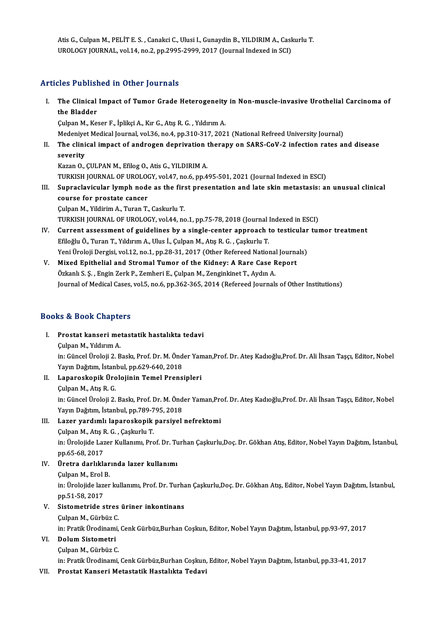Atis G., Culpan M., PELİT E. S. , Canakci C., Ulusi I., Gunaydin B., YILDIRIM A., Caskurlu T.<br>UPOLOCY IQUPNAL, YRLİ4, Pe 3, PP 3995-3999-3917 (Jeurnal Indexed in SCI) Atis G., Culpan M., PELİT E. S. , Canakci C., Ulusi I., Gunaydin B., YILDIRIM A., Cask<br>UROLOGY JOURNAL, vol.14, no.2, pp.2995-2999, 2017 (Journal Indexed in SCI) UROLOGY JOURNAL, vol.14, no.2, pp.2995-2999, 2017 (Journal Indexed in SCI)<br>Articles Published in Other Journals

rticles Published in Other Journals<br>I. The Clinical Impact of Tumor Grade Heterogeneity in Non-muscle-invasive Urothelial Carcinoma of<br>the Pladder The Clinical<br>The Clinical<br>the Bladder<br>Culpan M. Ko The Clinical Impact of Tumor Grade Heterogeneity<br>the Bladder<br>Çulpan M., Keser F., İplikçi A., Kır G., Atış R. G. , Yıldırım A.<br>Medeniyat Medical Journal val 26 no.4 nn 210 217 202 the Bladder<br>Çulpan M., Keser F., İplikçi A., Kır G., Atış R. G. , Yıldırım A.<br>Medenivet Medical Journal, vol.36, no.4, pp.310-317, 2021 (National Refreed University Journal)

Culpan M., Keser F., İplikçi A., Kır G., Atış R. G. , Yıldırım A.<br>Medeniyet Medical Journal, vol.36, no.4, pp.310-317, 2021 (National Refreed University Journal)<br>II. The clinical impact of androgen deprivation therapy Medeniye<br>The clini<br>severity<br>Kazan O The clinical impact of androgen deprivation<br>severity<br>Kazan O., ÇULPAN M., Efilog O., Atis G., YILDIRIM A.<br>TURKISH JOURNAL OF UROLOGY .vel 47, ne 6, nn 4. severity<br>Kazan O., ÇULPAN M., Efilog O., Atis G., YILDIRIM A.<br>TURKISH JOURNAL OF UROLOGY, vol.47, no.6, pp.495-501, 2021 (Journal Indexed in ESCI)<br>Sunnaclavicular lymph no.de as the first presentation and late akin metesta

Kazan O., ÇULPAN M., Efilog O., Atis G., YILDIRIM A.<br>TURKISH JOURNAL OF UROLOGY, vol.47, no.6, pp.495-501, 2021 (Journal Indexed in ESCI)<br>III. Supraclavicular lymph node as the first presentation and late skin metastasis: TURKISH JOURNAL OF UROLOON<br>Supraclavicular lymph node<br>course for prostate cancer<br>Culpap M. Vildinim A. Tunap T. course for prostate cancer<br>Çulpan M., Yildirim A., Turan T., Caskurlu T.<br>TURKISH JOURNAL OF UROLOGY, vol.44, no.1, pp.75-78, 2018 (Journal Indexed in ESCI)<br>Cunnent essessment of suidelines by a single senter ennueseb to te

Çulpan M., Yildirim A., Turan T., Caskurlu T.

- IV. Current assessment of guidelines by a single-center approach to testicular tumor treatment TURKISH JOURNAL OF UROLOGY, vol.44, no.1, pp.75-78, 2018 (Journal)<br>Current assessment of guidelines by a single-center approach t<br>Efiloğlu Ö., Turan T., Yıldırım A., Ulus İ., Çulpan M., Atış R. G. , Çaşkurlu T.<br>Yoni Ürelej Current assessment of guidelines by a single-center approach to testicular<br>Efiloğlu Ö., Turan T., Yıldırım A., Ulus İ., Çulpan M., Atış R. G. , Çaşkurlu T.<br>Yeni Üroloji Dergisi, vol.12, no.1, pp.28-31, 2017 (Other Refereed Efiloğlu Ö., Turan T., Yıldırım A., Ulus İ., Çulpan M., Atış R. G. , Çaşkurlu T.<br>Yeni Üroloji Dergisi, vol.12, no.1, pp.28-31, 2017 (Other Refereed National Journa<br>V. Mixed Epithelial and Stromal Tumor of the Kidney: A Rar
- Yeni Üroloji Dergisi, vol.12, no.1, pp.28-31, 2017 (Other Refereed National<br>Mixed Epithelial and Stromal Tumor of the Kidney: A Rare Case F<br>Özkanlı S. Ş. , Engin Zerk P., Zemheri E., Çulpan M., Zenginkinet T., Aydın A.<br>Jou V. Mixed Epithelial and Stromal Tumor of the Kidney: A Rare Case Report<br>Özkanlı S. Ş. , Engin Zerk P., Zemheri E., Çulpan M., Zenginkinet T., Aydın A.<br>Journal of Medical Cases, vol.5, no.6, pp.362-365, 2014 (Refereed Journ

## Books&Book Chapters

I. Prostat kanserimetastatik hastalıkta tedavi ÇulpanM.,YıldırımA. Prostat kanseri metastatik hastalıkta tedavi<br>Çulpan M., Yıldırım A.<br>in: Güncel Üroloji 2. Baskı, Prof. Dr. M. Önder Yaman,Prof. Dr. Ateş Kadıoğlu,Prof. Dr. Ali İhsan Taşçı, Editor, Nobel<br>Yayın Dağıtım, İstanbul, nr.620,640 Çulpan M., Yıldırım A.<br>in: Güncel Üroloji 2. Baskı, Prof. Dr. M. Önd<br>Yayın Dağıtım, İstanbul, pp.629-640, 2018<br>Lananoskanik Ünolojinin Tamal Brana in: Güncel Üroloji 2. Baskı, Prof. Dr. M. Önder Yan<br>Yayın Dağıtım, İstanbul, pp.629-640, 2018<br>II. Laparoskopik Ürolojinin Temel Prensipleri Yayın Dağıtım, İstan<br><mark>Laparoskopik Üro</mark><br>Çulpan M., Atış R. G.<br>in: Güncel Üroleji 2 Çulpan M., Atış R. G.<br>in: Güncel Üroloji 2. Baskı, Prof. Dr. M. Önder Yaman,Prof. Dr. Ates Kadıoğlu,Prof. Dr. Ali İhsan Tascı, Editor, Nobel Yayın Dağıtım, İstanbul, pp.789-795, 2018 in: Güncel Üroloji 2. Baskı, Prof. Dr. M. Önder Yaman,Pro<br>Yayın Dağıtım, İstanbul, pp.789-795, 2018<br>III. Lazer yardımlı laparoskopik parsiyel nefrektomi Yayın Dağıtım, İstanbul, pp.789-7<br><mark>Lazer yardımlı laparoskopik</mark><br>Çulpan M., Atış R. G. , Çaşkurlu T.<br>inı Ürelejide Lazer Kullanımı Pre

in: Ürolojide Lazer Kullanımı, Prof. Dr. Turhan Çaşkurlu,Doç. Dr. Gökhan Atış, Editor, Nobel Yayın Dağıtım, İstanbul,<br>pp.65-68, 2017 Culpan M., Atış R. G., Çaşkurlu T. in: Ürolojide Lazer Kullanımı, Prof. Dr. Tu<br>pp.65-68, 2017<br>IV. Üretra darlıklarında lazer kullanımı<br>Culpan M. Erol P.

pp.65-68, 2017<br><mark>Üretra darlıklar</mark><br>Çulpan M., Erol B.<br>in: Ürolojide larer Üretra darlıklarında lazer kullanımı<br>Çulpan M., Erol B.<br>in: Ürolojide lazer kullanımı, Prof. Dr. Turhan Çaşkurlu,Doç. Dr. Gökhan Atış, Editor, Nobel Yayın Dağıtım, İstanbul,<br>nn 51, 59, 2017 Culpan M., Erol<br>in: Ürolojide laz<br>pp.51-58, 2017<br>Sistemetride e in: Ürolojide lazer kullanımı, Prof. Dr. Turha<br>pp.51-58, 2017<br>V. Sistometride stres üriner inkontinans<br>Culpan M. Gürbür C

## pp.51-58, 2017<br>V. Sistometride stres üriner inkontinans<br>Çulpan M., Gürbüz C.

Sistometride stres üriner inkontinans<br>Çulpan M., Gürbüz C.<br>in: Pratik Ürodinami, Cenk Gürbüz,Burhan Coşkun, Editor, Nobel Yayın Dağıtım, İstanbul, pp.93-97, 2017<br>Polum Sistemetri

## VI. Dolum Sistometri<br>Culpan M., Gürbüz C.

in: Pratik Ürodinami,<br>Dolum Sistometri<br>Çulpan M., Gürbüz C.<br>in: Pratik Ürodinami

in:PratikÜrodinami,CenkGürbüz,BurhanCoşkun,Editor,NobelYayınDağıtım, İstanbul,pp.33-41,2017

VII. Prostat Kanseri Metastatik Hastalıkta Tedavi